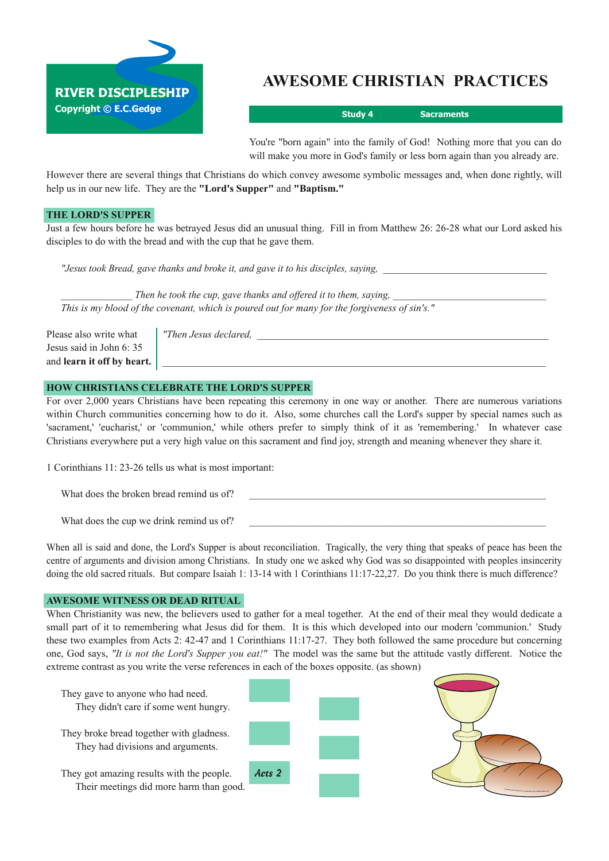

# **AWESOME CHRISTIAN PRACTICES**

**Study 4 Sacraments**

You're "born again" into the family of God! Nothing more that you can do will make you more in God's family or less born again than you already are.

However there are several things that Christians do which convey awesome symbolic messages and, when done rightly, will help us in our new life. They are the **"Lord's Supper"** and **"Baptism."**

## **THE LORD'S SUPPER**

Just a few hours before he was betrayed Jesus did an unusual thing. Fill in from Matthew 26: 2628 what our Lord asked his disciples to do with the bread and with the cup that he gave them.

"Jesus took Bread, gave thanks and broke it, and gave it to his disciples, saying,

*\_\_\_\_\_\_\_\_\_\_\_\_\_\_ Then he took the cup, gave thanks and offered it to them, saying, \_\_\_\_\_\_\_\_\_\_\_\_\_\_\_\_\_\_\_\_\_\_\_\_\_\_\_\_\_\_ This is my blood of the covenant, which is poured out for many for the forgiveness of sin's."*

Please also write what *Then Jesus declared,* Jesus said in John 6: 35 and **learn** it off by heart.

## **HOW CHRISTIANS CELEBRATE THE LORD'S SUPPER**

For over 2,000 years Christians have been repeating this ceremony in one way or another. There are numerous variations within Church communities concerning how to do it. Also, some churches call the Lord's supper by special names such as 'sacrament,' 'eucharist,' or 'communion,' while others prefer to simply think of it as 'remembering.' In whatever case Christians everywhere put a very high value on this sacrament and find joy, strength and meaning whenever they share it.

1 Corinthians 11: 23-26 tells us what is most important:

What does the broken bread remind us of?

What does the cup we drink remind us of?

When all is said and done, the Lord's Supper is about reconciliation. Tragically, the very thing that speaks of peace has been the centre of arguments and division among Christians. In study one we asked why God was so disappointed with peoples insincerity doing the old sacred rituals. But compare Isaiah 1: 13-14 with 1 Corinthians 11:17-22,27. Do you think there is much difference?

## **AWESOME WITNESS OR DEAD RITUAL**

When Christianity was new, the believers used to gather for a meal together. At the end of their meal they would dedicate a small part of it to remembering what Jesus did for them. It is this which developed into our modern 'communion.' Study these two examples from Acts 2: 4247 and 1 Corinthians 11:1727. They both followed the same procedure but concerning one, God says, *"It is not the Lord's Supper you eat!"* The model was the same but the attitude vastly different. Notice the extreme contrast as you write the verse references in each of the boxes opposite. (as shown)